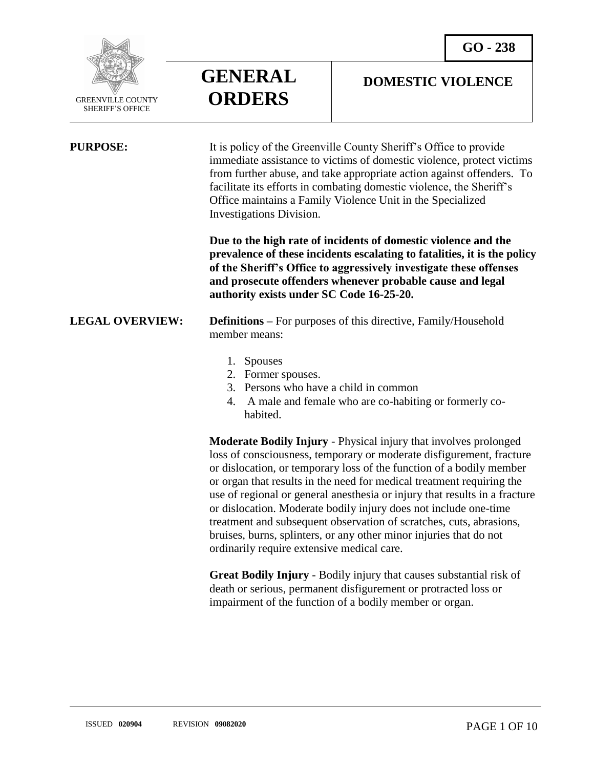

 $\overline{a}$ 

# **GENERAL ORDERS**

### **DOMESTIC VIOLENCE**

| <b>PURPOSE:</b>        | It is policy of the Greenville County Sheriff's Office to provide<br>immediate assistance to victims of domestic violence, protect victims<br>from further abuse, and take appropriate action against offenders. To<br>facilitate its efforts in combating domestic violence, the Sheriff's<br>Office maintains a Family Violence Unit in the Specialized<br>Investigations Division.                                                                                                                                                                                              |
|------------------------|------------------------------------------------------------------------------------------------------------------------------------------------------------------------------------------------------------------------------------------------------------------------------------------------------------------------------------------------------------------------------------------------------------------------------------------------------------------------------------------------------------------------------------------------------------------------------------|
|                        | Due to the high rate of incidents of domestic violence and the<br>prevalence of these incidents escalating to fatalities, it is the policy<br>of the Sheriff's Office to aggressively investigate these offenses<br>and prosecute offenders whenever probable cause and legal<br>authority exists under SC Code 16-25-20.                                                                                                                                                                                                                                                          |
| <b>LEGAL OVERVIEW:</b> | <b>Definitions</b> – For purposes of this directive, Family/Household<br>member means:                                                                                                                                                                                                                                                                                                                                                                                                                                                                                             |
|                        | 1. Spouses<br>2. Former spouses.<br>3. Persons who have a child in common<br>A male and female who are co-habiting or formerly co-<br>4.<br>habited.                                                                                                                                                                                                                                                                                                                                                                                                                               |
|                        | Moderate Bodily Injury - Physical injury that involves prolonged<br>loss of consciousness, temporary or moderate disfigurement, fracture<br>or dislocation, or temporary loss of the function of a bodily member<br>or organ that results in the need for medical treatment requiring the<br>use of regional or general and and injury that results in a fracture<br>or dislocation. Moderate bodily injury does not include one-time<br>treatment and subsequent observation of scratches, cuts, abrasions,<br>bruises, burns, splinters, or any other minor injuries that do not |

ordinarily require extensive medical care.

**Great Bodily Injury** - Bodily injury that causes substantial risk of death or serious, permanent disfigurement or protracted loss or impairment of the function of a bodily member or organ.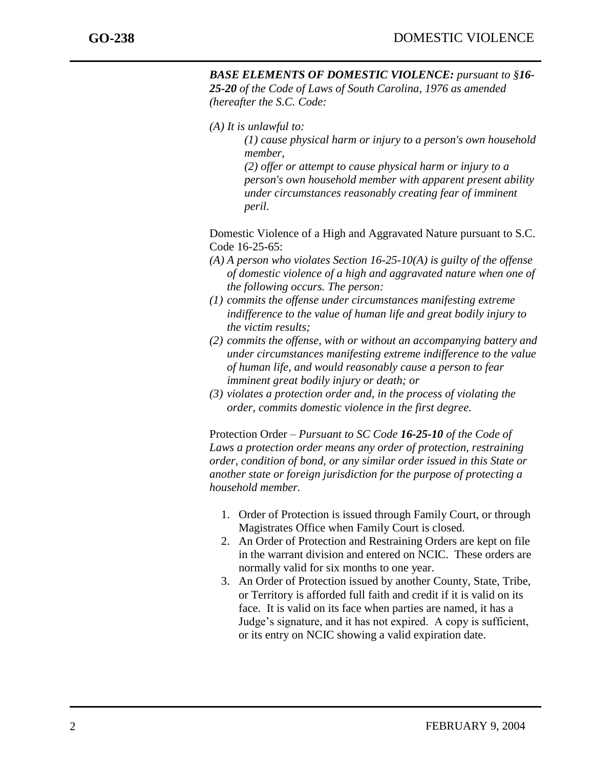*(A) It is unlawful to:*

*(1) cause physical harm or injury to a person's own household member,*

*(2) offer or attempt to cause physical harm or injury to a person's own household member with apparent present ability under circumstances reasonably creating fear of imminent peril.*

Domestic Violence of a High and Aggravated Nature pursuant to S.C. Code 16-25-65:

- *(A) A person who violates Section 16-25-10(A) is guilty of the offense of domestic violence of a high and aggravated nature when one of the following occurs. The person:*
- *(1) commits the offense under circumstances manifesting extreme indifference to the value of human life and great bodily injury to the victim results;*
- *(2) commits the offense, with or without an accompanying battery and under circumstances manifesting extreme indifference to the value of human life, and would reasonably cause a person to fear imminent great bodily injury or death; or*
- *(3) violates a protection order and, in the process of violating the order, commits domestic violence in the first degree.*

Protection Order – *Pursuant to SC Code 16-25-10 of the Code of Laws a protection order means any order of protection, restraining order, condition of bond, or any similar order issued in this State or another state or foreign jurisdiction for the purpose of protecting a household member.*

- 1. Order of Protection is issued through Family Court, or through Magistrates Office when Family Court is closed.
- 2. An Order of Protection and Restraining Orders are kept on file in the warrant division and entered on NCIC. These orders are normally valid for six months to one year.
- 3. An Order of Protection issued by another County, State, Tribe, or Territory is afforded full faith and credit if it is valid on its face. It is valid on its face when parties are named, it has a Judge's signature, and it has not expired. A copy is sufficient, or its entry on NCIC showing a valid expiration date.

j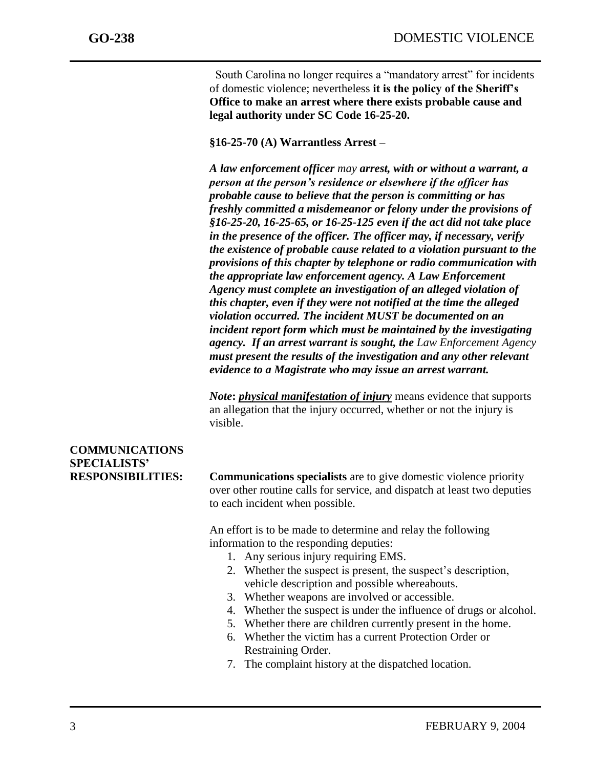South Carolina no longer requires a "mandatory arrest" for incidents of domestic violence; nevertheless **it is the policy of the Sheriff's Office to make an arrest where there exists probable cause and legal authority under SC Code 16-25-20.**

**§16-25-70 (A) Warrantless Arrest –**

*A law enforcement officer may arrest, with or without a warrant, a person at the person's residence or elsewhere if the officer has probable cause to believe that the person is committing or has freshly committed a misdemeanor or felony under the provisions of §16-25-20, 16-25-65, or 16-25-125 even if the act did not take place in the presence of the officer. The officer may, if necessary, verify the existence of probable cause related to a violation pursuant to the provisions of this chapter by telephone or radio communication with the appropriate law enforcement agency. A Law Enforcement Agency must complete an investigation of an alleged violation of this chapter, even if they were not notified at the time the alleged violation occurred. The incident MUST be documented on an incident report form which must be maintained by the investigating agency. If an arrest warrant is sought, the Law Enforcement Agency must present the results of the investigation and any other relevant evidence to a Magistrate who may issue an arrest warrant.*

*Note***:** *physical manifestation of injury* means evidence that supports an allegation that the injury occurred, whether or not the injury is visible.

## **COMMUNICATIONS SPECIALISTS'**

**RESPONSIBILITIES: Communications specialists** are to give domestic violence priority over other routine calls for service, and dispatch at least two deputies to each incident when possible.

> An effort is to be made to determine and relay the following information to the responding deputies:

- 1. Any serious injury requiring EMS.
- 2. Whether the suspect is present, the suspect's description, vehicle description and possible whereabouts.
- 3. Whether weapons are involved or accessible.
- 4. Whether the suspect is under the influence of drugs or alcohol.
- 5. Whether there are children currently present in the home.
- 6. Whether the victim has a current Protection Order or Restraining Order.
- 7. The complaint history at the dispatched location.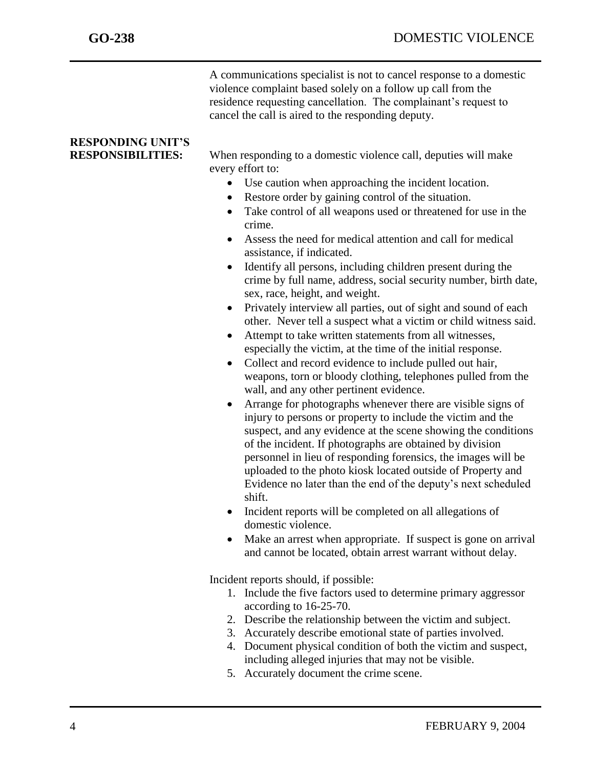A communications specialist is not to cancel response to a domestic violence complaint based solely on a follow up call from the residence requesting cancellation. The complainant's request to cancel the call is aired to the responding deputy.

# **RESPONDING UNIT'S**

**RESPONSIBILITIES:** When responding to a domestic violence call, deputies will make every effort to:

- Use caution when approaching the incident location.
- Restore order by gaining control of the situation.
- Take control of all weapons used or threatened for use in the crime.
- Assess the need for medical attention and call for medical assistance, if indicated.
- Identify all persons, including children present during the crime by full name, address, social security number, birth date, sex, race, height, and weight.
- Privately interview all parties, out of sight and sound of each other. Never tell a suspect what a victim or child witness said.
- Attempt to take written statements from all witnesses, especially the victim, at the time of the initial response.
- Collect and record evidence to include pulled out hair, weapons, torn or bloody clothing, telephones pulled from the wall, and any other pertinent evidence.
- Arrange for photographs whenever there are visible signs of injury to persons or property to include the victim and the suspect, and any evidence at the scene showing the conditions of the incident. If photographs are obtained by division personnel in lieu of responding forensics, the images will be uploaded to the photo kiosk located outside of Property and Evidence no later than the end of the deputy's next scheduled shift.
- Incident reports will be completed on all allegations of domestic violence.
- Make an arrest when appropriate. If suspect is gone on arrival and cannot be located, obtain arrest warrant without delay.

Incident reports should, if possible:

- 1. Include the five factors used to determine primary aggressor according to 16-25-70.
- 2. Describe the relationship between the victim and subject.
- 3. Accurately describe emotional state of parties involved.
- 4. Document physical condition of both the victim and suspect, including alleged injuries that may not be visible.
- 5. Accurately document the crime scene.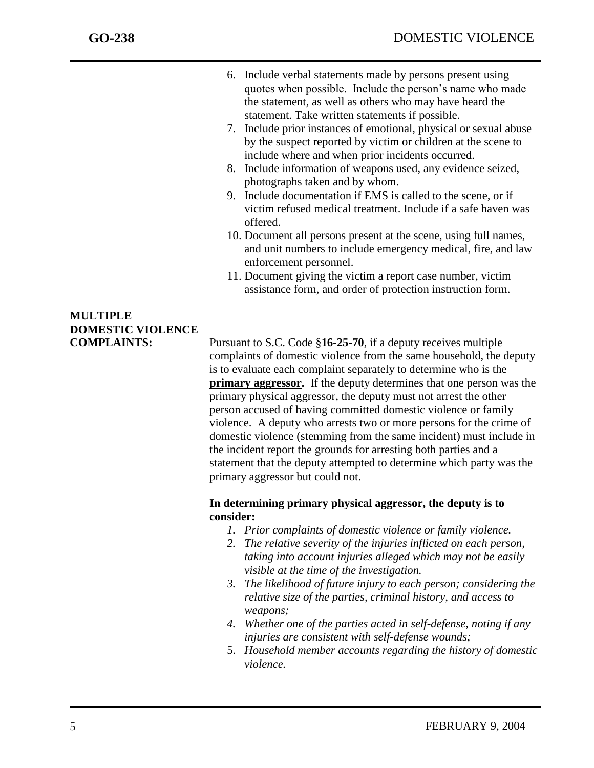- 6. Include verbal statements made by persons present using quotes when possible. Include the person's name who made the statement, as well as others who may have heard the statement. Take written statements if possible.
- 7. Include prior instances of emotional, physical or sexual abuse by the suspect reported by victim or children at the scene to include where and when prior incidents occurred.
- 8. Include information of weapons used, any evidence seized, photographs taken and by whom.
- 9. Include documentation if EMS is called to the scene, or if victim refused medical treatment. Include if a safe haven was offered.
- 10. Document all persons present at the scene, using full names, and unit numbers to include emergency medical, fire, and law enforcement personnel.
- 11. Document giving the victim a report case number, victim assistance form, and order of protection instruction form.

## **MULTIPLE DOMESTIC VIOLENCE**

**COMPLAINTS:** Pursuant to S.C. Code §**16-25-70**, if a deputy receives multiple complaints of domestic violence from the same household, the deputy is to evaluate each complaint separately to determine who is the **primary aggressor.** If the deputy determines that one person was the primary physical aggressor, the deputy must not arrest the other person accused of having committed domestic violence or family violence. A deputy who arrests two or more persons for the crime of domestic violence (stemming from the same incident) must include in the incident report the grounds for arresting both parties and a statement that the deputy attempted to determine which party was the primary aggressor but could not.

#### **In determining primary physical aggressor, the deputy is to consider:**

- *1. Prior complaints of domestic violence or family violence.*
- *2. The relative severity of the injuries inflicted on each person, taking into account injuries alleged which may not be easily visible at the time of the investigation.*
- *3. The likelihood of future injury to each person; considering the relative size of the parties, criminal history, and access to weapons;*
- *4. Whether one of the parties acted in self-defense, noting if any injuries are consistent with self-defense wounds;*
- 5. *Household member accounts regarding the history of domestic violence.*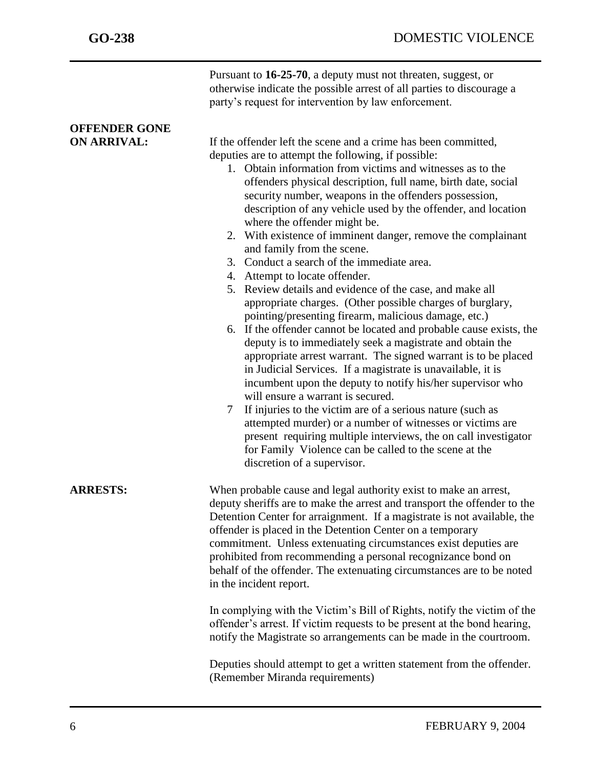|                                            | Pursuant to 16-25-70, a deputy must not threaten, suggest, or<br>otherwise indicate the possible arrest of all parties to discourage a<br>party's request for intervention by law enforcement.                                                                                                                                                                                                                                                                                                                                                                                                                                                                                                                                                                                                                                                                                                                                                                                                                                                                                                                                                                                                                                                                                                                                                                                                                                                        |
|--------------------------------------------|-------------------------------------------------------------------------------------------------------------------------------------------------------------------------------------------------------------------------------------------------------------------------------------------------------------------------------------------------------------------------------------------------------------------------------------------------------------------------------------------------------------------------------------------------------------------------------------------------------------------------------------------------------------------------------------------------------------------------------------------------------------------------------------------------------------------------------------------------------------------------------------------------------------------------------------------------------------------------------------------------------------------------------------------------------------------------------------------------------------------------------------------------------------------------------------------------------------------------------------------------------------------------------------------------------------------------------------------------------------------------------------------------------------------------------------------------------|
| <b>OFFENDER GONE</b><br><b>ON ARRIVAL:</b> | If the offender left the scene and a crime has been committed,<br>deputies are to attempt the following, if possible:<br>1. Obtain information from victims and witnesses as to the<br>offenders physical description, full name, birth date, social<br>security number, weapons in the offenders possession,<br>description of any vehicle used by the offender, and location<br>where the offender might be.<br>2. With existence of imminent danger, remove the complainant<br>and family from the scene.<br>3. Conduct a search of the immediate area.<br>4. Attempt to locate offender.<br>5. Review details and evidence of the case, and make all<br>appropriate charges. (Other possible charges of burglary,<br>pointing/presenting firearm, malicious damage, etc.)<br>6. If the offender cannot be located and probable cause exists, the<br>deputy is to immediately seek a magistrate and obtain the<br>appropriate arrest warrant. The signed warrant is to be placed<br>in Judicial Services. If a magistrate is unavailable, it is<br>incumbent upon the deputy to notify his/her supervisor who<br>will ensure a warrant is secured.<br>If injuries to the victim are of a serious nature (such as<br>$\tau$<br>attempted murder) or a number of witnesses or victims are<br>present requiring multiple interviews, the on call investigator<br>for Family Violence can be called to the scene at the<br>discretion of a supervisor. |
| <b>ARRESTS:</b>                            | When probable cause and legal authority exist to make an arrest,<br>deputy sheriffs are to make the arrest and transport the offender to the<br>Detention Center for arraignment. If a magistrate is not available, the<br>offender is placed in the Detention Center on a temporary<br>commitment. Unless extenuating circumstances exist deputies are<br>prohibited from recommending a personal recognizance bond on<br>behalf of the offender. The extenuating circumstances are to be noted<br>in the incident report.<br>In complying with the Victim's Bill of Rights, notify the victim of the<br>offender's arrest. If victim requests to be present at the bond hearing,<br>notify the Magistrate so arrangements can be made in the courtroom.<br>Deputies should attempt to get a written statement from the offender.<br>(Remember Miranda requirements)                                                                                                                                                                                                                                                                                                                                                                                                                                                                                                                                                                                 |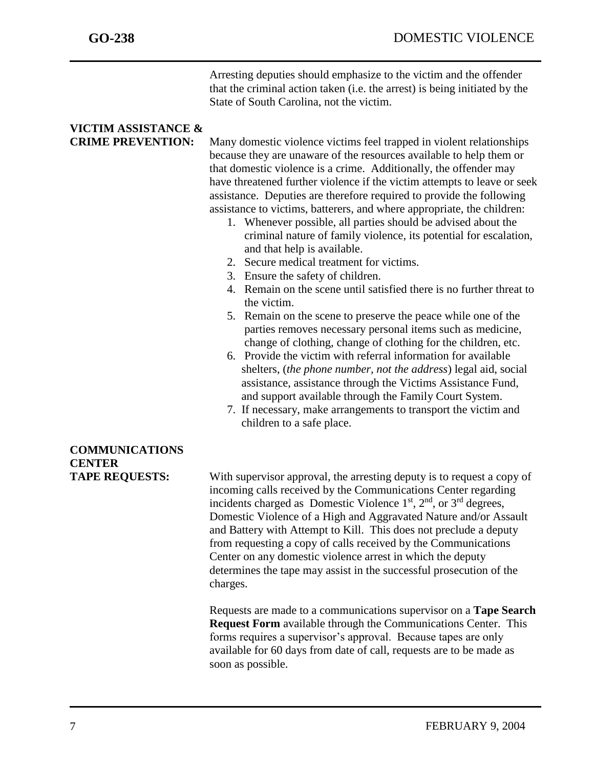Arresting deputies should emphasize to the victim and the offender that the criminal action taken (i.e. the arrest) is being initiated by the State of South Carolina, not the victim.

# **VICTIM ASSISTANCE &**

**CRIME PREVENTION:** Many domestic violence victims feel trapped in violent relationships because they are unaware of the resources available to help them or that domestic violence is a crime. Additionally, the offender may have threatened further violence if the victim attempts to leave or seek assistance. Deputies are therefore required to provide the following assistance to victims, batterers, and where appropriate, the children:

- 1. Whenever possible, all parties should be advised about the criminal nature of family violence, its potential for escalation, and that help is available.
- 2. Secure medical treatment for victims.
- 3. Ensure the safety of children.
- 4. Remain on the scene until satisfied there is no further threat to the victim.
- 5. Remain on the scene to preserve the peace while one of the parties removes necessary personal items such as medicine, change of clothing, change of clothing for the children, etc.
- 6. Provide the victim with referral information for available shelters, (*the phone number, not the address*) legal aid, social assistance, assistance through the Victims Assistance Fund, and support available through the Family Court System.
- 7. If necessary, make arrangements to transport the victim and children to a safe place.

#### **TAPE REQUESTS:** With supervisor approval, the arresting deputy is to request a copy of incoming calls received by the Communications Center regarding incidents charged as Domestic Violence  $1<sup>st</sup>$ ,  $2<sup>nd</sup>$ , or  $3<sup>rd</sup>$  degrees, Domestic Violence of a High and Aggravated Nature and/or Assault and Battery with Attempt to Kill. This does not preclude a deputy from requesting a copy of calls received by the Communications Center on any domestic violence arrest in which the deputy determines the tape may assist in the successful prosecution of the charges.

Requests are made to a communications supervisor on a **Tape Search Request Form** available through the Communications Center. This forms requires a supervisor's approval. Because tapes are only available for 60 days from date of call, requests are to be made as soon as possible.

### **COMMUNICATIONS CENTER**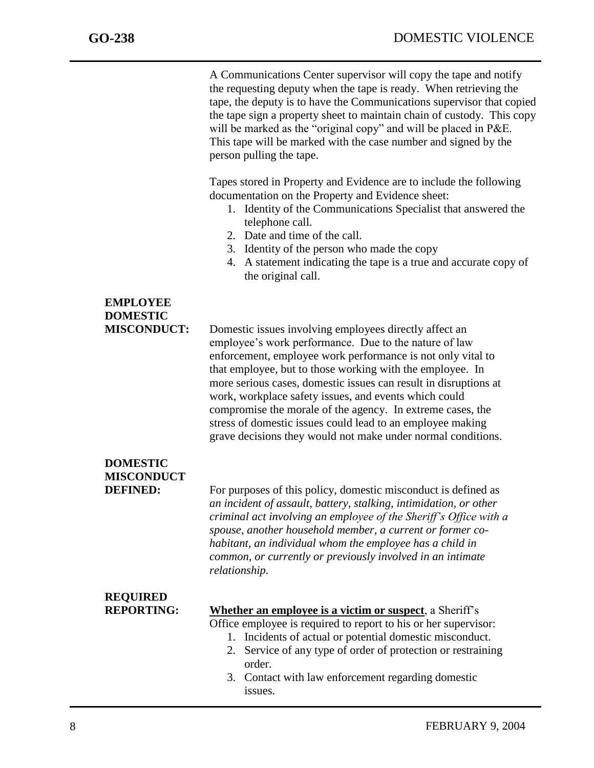| A Communications Center supervisor will copy the tape and notify       |  |  |
|------------------------------------------------------------------------|--|--|
| the requesting deputy when the tape is ready. When retrieving the      |  |  |
| tape, the deputy is to have the Communications supervisor that copied  |  |  |
| the tape sign a property sheet to maintain chain of custody. This copy |  |  |
| will be marked as the "original copy" and will be placed in P&E.       |  |  |
| This tape will be marked with the case number and signed by the        |  |  |
| person pulling the tape.                                               |  |  |

Tapes stored in Property and Evidence are to include the following documentation on the Property and Evidence sheet:

- 1. Identity of the Communications Specialist that answered the telephone call.
- 2. Date and time of the call.
- 3. Identity of the person who made the copy
- 4. A statement indicating the tape is a true and accurate copy of the original call.

## **EMPLOYEE DOMESTIC**

**MISCONDUCT:** Domestic issues involving employees directly affect an employee's work performance. Due to the nature of law enforcement, employee work performance is not only vital to that employee, but to those working with the employee. In more serious cases, domestic issues can result in disruptions at work, workplace safety issues, and events which could compromise the morale of the agency. In extreme cases, the stress of domestic issues could lead to an employee making grave decisions they would not make under normal conditions.

## **DOMESTIC MISCONDUCT**

**DEFINED:** For purposes of this policy, domestic misconduct is defined as *an incident of assault, battery, stalking, intimidation, or other criminal act involving an employee of the Sheriff's Office with a spouse, another household member, a current or former cohabitant, an individual whom the employee has a child in common, or currently or previously involved in an intimate relationship.*

# **REQUIRED**

#### **REPORTING: Whether an employee is a victim or suspect**, a Sheriff's

Office employee is required to report to his or her supervisor:

- 1. Incidents of actual or potential domestic misconduct.
- 2. Service of any type of order of protection or restraining order.
- 3. Contact with law enforcement regarding domestic issues.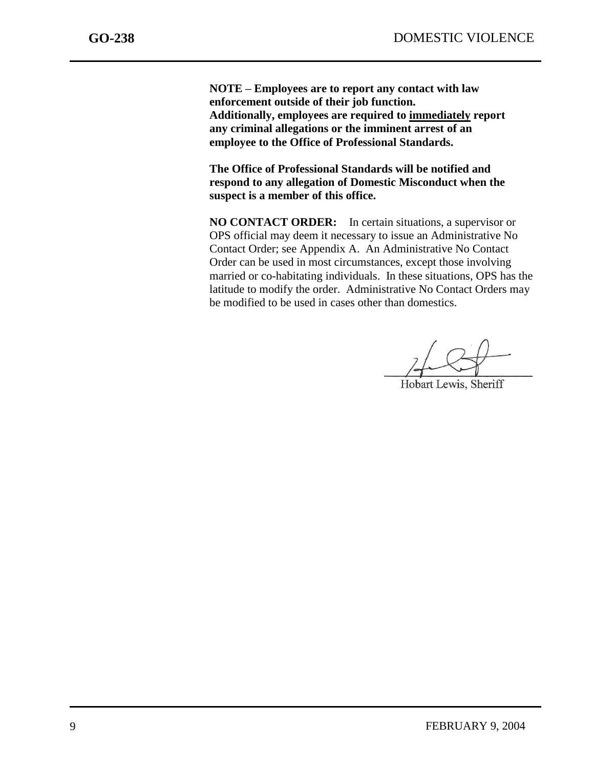**NOTE – Employees are to report any contact with law enforcement outside of their job function. Additionally, employees are required to immediately report any criminal allegations or the imminent arrest of an employee to the Office of Professional Standards.** 

**The Office of Professional Standards will be notified and respond to any allegation of Domestic Misconduct when the suspect is a member of this office.**

**NO CONTACT ORDER:** In certain situations, a supervisor or OPS official may deem it necessary to issue an Administrative No Contact Order; see Appendix A. An Administrative No Contact Order can be used in most circumstances, except those involving married or co-habitating individuals. In these situations, OPS has the latitude to modify the order. Administrative No Contact Orders may be modified to be used in cases other than domestics.

Hobart Lewis, Sheriff